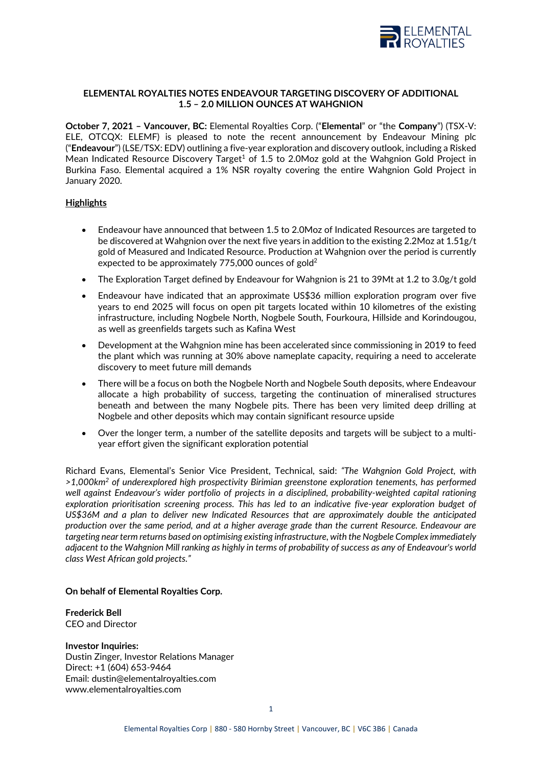

# **ELEMENTAL ROYALTIES NOTES ENDEAVOUR TARGETING DISCOVERY OF ADDITIONAL 1.5 – 2.0 MILLION OUNCES AT WAHGNION**

**October 7, 2021 – Vancouver, BC:** Elemental Royalties Corp. ("**Elemental**" or "the **Company**") (TSX-V: ELE, OTCQX: ELEMF) is pleased to note the recent announcement by Endeavour Mining plc ("**Endeavour**") (LSE/TSX: EDV) outlining a five-year exploration and discovery outlook, including a Risked Mean Indicated Resource Discovery Target<sup>1</sup> of 1.5 to 2.0Moz gold at the Wahgnion Gold Project in Burkina Faso. Elemental acquired a 1% NSR royalty covering the entire Wahgnion Gold Project in January 2020.

# **Highlights**

- Endeavour have announced that between 1.5 to 2.0Moz of Indicated Resources are targeted to be discovered at Wahgnion over the next five years in addition to the existing 2.2Moz at 1.51g/t gold of Measured and Indicated Resource. Production at Wahgnion over the period is currently expected to be approximately 775,000 ounces of gold<sup>2</sup>
- The Exploration Target defined by Endeavour for Wahgnion is 21 to 39Mt at 1.2 to 3.0g/t gold
- Endeavour have indicated that an approximate US\$36 million exploration program over five years to end 2025 will focus on open pit targets located within 10 kilometres of the existing infrastructure, including Nogbele North, Nogbele South, Fourkoura, Hillside and Korindougou, as well as greenfields targets such as Kafina West
- Development at the Wahgnion mine has been accelerated since commissioning in 2019 to feed the plant which was running at 30% above nameplate capacity, requiring a need to accelerate discovery to meet future mill demands
- There will be a focus on both the Nogbele North and Nogbele South deposits, where Endeavour allocate a high probability of success, targeting the continuation of mineralised structures beneath and between the many Nogbele pits. There has been very limited deep drilling at Nogbele and other deposits which may contain significant resource upside
- Over the longer term, a number of the satellite deposits and targets will be subject to a multiyear effort given the significant exploration potential

Richard Evans, Elemental's Senior Vice President, Technical, said: *"The Wahgnion Gold Project, with >1,000km2 of underexplored high prospectivity Birimian greenstone exploration tenements, has performed well against Endeavour's wider portfolio of projects in a disciplined, probability-weighted capital rationing exploration prioritisation screening process. This has led to an indicative five-year exploration budget of US\$36M and a plan to deliver new Indicated Resources that are approximately double the anticipated production over the same period, and at a higher average grade than the current Resource. Endeavour are targeting near term returns based on optimising existing infrastructure, with the Nogbele Complex immediately adjacent to the Wahgnion Mill ranking as highly in terms of probability of success as any of Endeavour's world class West African gold projects."*

## **On behalf of Elemental Royalties Corp.**

**Frederick Bell** CEO and Director

**Investor Inquiries:** Dustin Zinger, Investor Relations Manager Direct: +1 (604) 653-9464 Email: [dustin@elementalroyalties.com](mailto:dustin@elementalroyalties.com) [www.elementalroyalties.com](http://www.elementalroyalties.com/)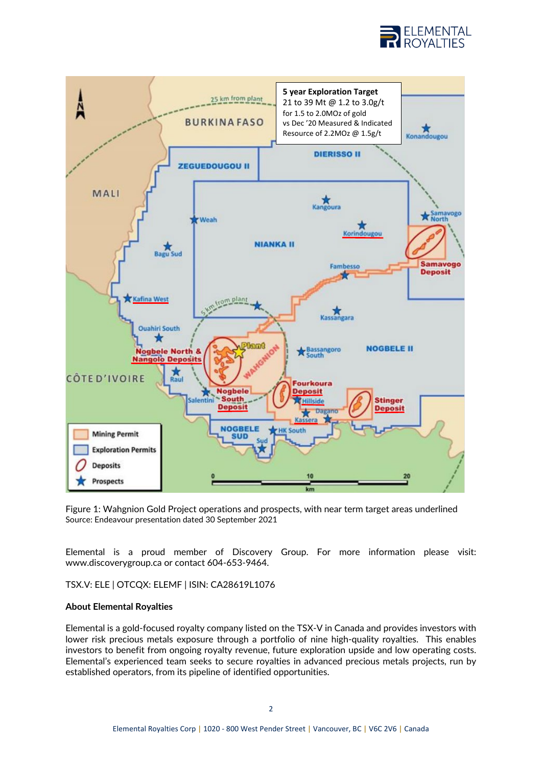



Figure 1: Wahgnion Gold Project operations and prospects, with near term target areas underlined Source: Endeavour presentation dated 30 September 2021

Elemental is a proud member of Discovery Group. For more information please visit: [www.discoverygroup.ca](http://www.discoverygroup.ca/) or contact 604-653-9464.

TSX.V: ELE | OTCQX: ELEMF | ISIN: CA28619L1076

## **About Elemental Royalties**

Elemental is a gold-focused royalty company listed on the TSX-V in Canada and provides investors with lower risk precious metals exposure through a portfolio of nine high-quality royalties. This enables investors to benefit from ongoing royalty revenue, future exploration upside and low operating costs. Elemental's experienced team seeks to secure royalties in advanced precious metals projects, run by established operators, from its pipeline of identified opportunities.